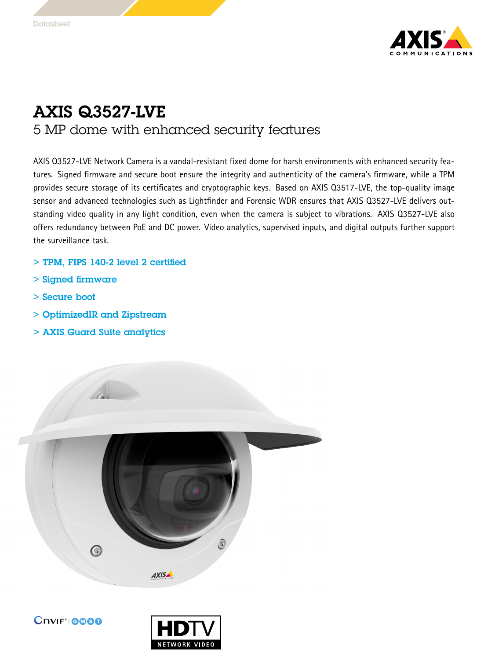

## AXIS Q3527-LVE 5 MP dome with enhanced security features

AXIS Q3527-LVE Network Camera is <sup>a</sup> vandal-resistant fixed dome for harsh environments with enhanced security features. Signed firmware and secure boot ensure the integrity and authenticity of the camera's firmware, while <sup>a</sup> TPM provides secure storage of its certificates and cryptographic keys. Based on AXIS Q3517-LVE, the top-quality image sensor and advanced technologies such as Lightfinder and Forensic WDR ensures that AXIS Q3527-LVE delivers outstanding video quality in any light condition, even when the camera is subject to vibrations. AXIS Q3527-LVE also offers redundancy between PoE and DC power. Video analytics, supervised inputs, and digital outputs further support the surveillance task.

- > TPM, FIPS 140-2 level 2 certified
- > Signed firmware
- > Secure boot
- > OptimizedIR and Zipstream
- > AXIS Guard Suite analytics





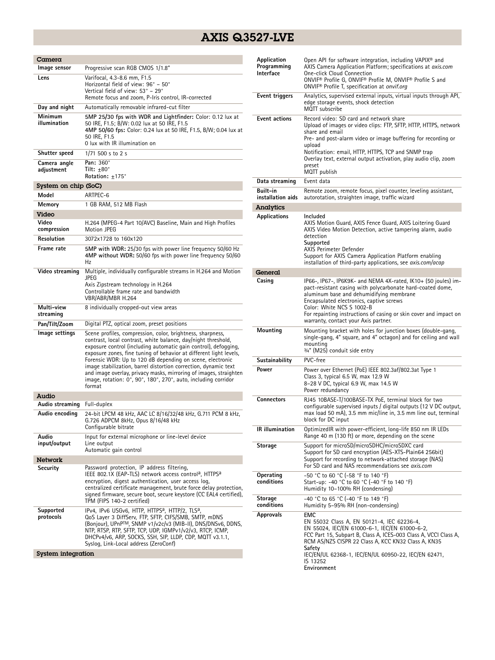## AXIS Q3527-LVE

| Camera                     |                                                                                                                                                                                                                                                                                                                                                                                                                                                                                                                                                       |  |
|----------------------------|-------------------------------------------------------------------------------------------------------------------------------------------------------------------------------------------------------------------------------------------------------------------------------------------------------------------------------------------------------------------------------------------------------------------------------------------------------------------------------------------------------------------------------------------------------|--|
| Image sensor               | Progressive scan RGB CMOS 1/1.8"                                                                                                                                                                                                                                                                                                                                                                                                                                                                                                                      |  |
| Lens                       | Varifocal, 4.3-8.6 mm, F1.5<br>Horizontal field of view: 96° – 50°<br>Vertical field of view: 53° - 29°<br>Remote focus and zoom, P-Iris control, IR-corrected                                                                                                                                                                                                                                                                                                                                                                                        |  |
| Day and night              | Automatically removable infrared-cut filter                                                                                                                                                                                                                                                                                                                                                                                                                                                                                                           |  |
| Minimum<br>illumination    | 5MP 25/30 fps with WDR and Lightfinder: Color: 0.12 lux at<br>50 IRE, F1.5; B/W: 0.02 lux at 50 IRE, F1.5<br>4MP 50/60 fps: Color: 0.24 lux at 50 IRE, F1.5, B/W; 0.04 lux at<br>50 IRE, F1.5<br>0 lux with IR illumination on                                                                                                                                                                                                                                                                                                                        |  |
| Shutter speed              | 1/71 500 s to 2 s                                                                                                                                                                                                                                                                                                                                                                                                                                                                                                                                     |  |
| Camera angle<br>adjustment | Pan: 360°<br>Tilt: $+80^\circ$<br>Rotation: $±175^\circ$                                                                                                                                                                                                                                                                                                                                                                                                                                                                                              |  |
| System on chip (SoC)       |                                                                                                                                                                                                                                                                                                                                                                                                                                                                                                                                                       |  |
| Model                      | ARTPEC-6                                                                                                                                                                                                                                                                                                                                                                                                                                                                                                                                              |  |
| Memory                     | 1 GB RAM, 512 MB Flash                                                                                                                                                                                                                                                                                                                                                                                                                                                                                                                                |  |
| Video                      |                                                                                                                                                                                                                                                                                                                                                                                                                                                                                                                                                       |  |
| Video<br>compression       | H.264 (MPEG-4 Part 10/AVC) Baseline, Main and High Profiles<br><b>Motion JPEG</b>                                                                                                                                                                                                                                                                                                                                                                                                                                                                     |  |
| Resolution                 | 3072x1728 to 160x120                                                                                                                                                                                                                                                                                                                                                                                                                                                                                                                                  |  |
| Frame rate                 | 5MP with WDR: 25/30 fps with power line frequency 50/60 Hz<br>4MP without WDR: 50/60 fps with power line frequency 50/60<br>Hz                                                                                                                                                                                                                                                                                                                                                                                                                        |  |
| Video streaming            | Multiple, individually configurable streams in H.264 and Motion<br>JPEG<br>Axis Zipstream technology in H.264<br>Controllable frame rate and bandwidth<br>VBR/ABR/MBR H.264                                                                                                                                                                                                                                                                                                                                                                           |  |
| Multi-view<br>streaming    | 8 individually cropped-out view areas                                                                                                                                                                                                                                                                                                                                                                                                                                                                                                                 |  |
| Pan/Tilt/Zoom              | Digital PTZ, optical zoom, preset positions                                                                                                                                                                                                                                                                                                                                                                                                                                                                                                           |  |
| lmage settings             | Scene profiles, compression, color, brightness, sharpness,<br>contrast, local contrast, white balance, day/night threshold,<br>exposure control (including automatic gain control), defogging,<br>exposure zones, fine tuning of behavior at different light levels,<br>Forensic WDR: Up to 120 dB depending on scene, electronic<br>image stabilization, barrel distortion correction, dynamic text<br>and image overlay, privacy masks, mirroring of images, straighten<br>image, rotation: 0°, 90°, 180°, 270°, auto, including corridor<br>format |  |
| Audio                      |                                                                                                                                                                                                                                                                                                                                                                                                                                                                                                                                                       |  |
| Audio streaming            | Full-duplex                                                                                                                                                                                                                                                                                                                                                                                                                                                                                                                                           |  |
| Audio encoding             | 24-bit LPCM 48 kHz, AAC LC 8/16/32/48 kHz, G.711 PCM 8 kHz,<br>G.726 ADPCM 8kHz, Opus 8/16/48 kHz<br>Configurable bitrate                                                                                                                                                                                                                                                                                                                                                                                                                             |  |
| Audio<br>input/output      | Input for external microphone or line-level device<br>Line output<br>Automatic gain control                                                                                                                                                                                                                                                                                                                                                                                                                                                           |  |
| Network                    |                                                                                                                                                                                                                                                                                                                                                                                                                                                                                                                                                       |  |
| Security                   | Password protection, IP address filtering,<br>IEEE 802.1X (EAP-TLS) network access control <sup>a</sup> , HTTPS <sup>a</sup><br>encryption, digest authentication, user access log,<br>centralized certificate management, brute force delay protection,<br>signed firmware, secure boot, secure keystore (CC EAL4 certified),<br>TPM (FIPS 140-2 certified)                                                                                                                                                                                          |  |
| Supported<br>protocols     | IPv4, IPv6 USGv6, HTTP, HTTPS <sup>a</sup> , HTTP/2, TLS <sup>a</sup> ,<br>QoS Layer 3 DiffServ, FTP, SFTP, CIFS/SMB, SMTP, mDNS<br>(Bonjour), UPnP™, SNMP v1/v2c/v3 (MIB-II), DNS/DNSv6, DDNS,<br>NTP, RTSP, RTP, SFTP, TCP, UDP, IGMPv1/v2/v3, RTCP, ICMP,<br>DHCPv4/v6, ARP, SOCKS, SSH, SIP, LLDP, CDP, MQTT v3.1.1,<br>Syslog, Link-Local address (ZeroConf)                                                                                                                                                                                     |  |
| System integration         |                                                                                                                                                                                                                                                                                                                                                                                                                                                                                                                                                       |  |

| Application<br>Programming<br><b>Interface</b> | Open API for software integration, including VAPIX® and<br>AXIS Camera Application Platform; specifications at axis.com<br><b>One-click Cloud Connection</b><br>ONVIF® Profile G, ONVIF® Profile M, ONVIF® Profile S and<br>ONVIF® Profile T, specification at onvif.org                                                                                       |
|------------------------------------------------|----------------------------------------------------------------------------------------------------------------------------------------------------------------------------------------------------------------------------------------------------------------------------------------------------------------------------------------------------------------|
| Event triggers                                 | Analytics, supervised external inputs, virtual inputs through API,<br>edge storage events, shock detection<br><b>MQTT</b> subscribe                                                                                                                                                                                                                            |
| <b>Event actions</b>                           | Record video: SD card and network share<br>Upload of images or video clips: FTP, SFTP, HTTP, HTTPS, network<br>share and email<br>Pre- and post-alarm video or image buffering for recording or<br>upload<br>Notification: email, HTTP, HTTPS, TCP and SNMP trap<br>Overlay text, external output activation, play audio clip, zoom<br>preset<br>MQTT publish  |
| Data streaming                                 | Event data                                                                                                                                                                                                                                                                                                                                                     |
| Built-in<br>installation aids                  | Remote zoom, remote focus, pixel counter, leveling assistant,<br>autorotation, straighten image, traffic wizard                                                                                                                                                                                                                                                |
| Analytics                                      |                                                                                                                                                                                                                                                                                                                                                                |
| <b>Applications</b>                            | Included<br>AXIS Motion Guard, AXIS Fence Guard, AXIS Loitering Guard<br>AXIS Video Motion Detection, active tampering alarm, audio<br>detection<br>Supported<br>AXIS Perimeter Defender<br>Support for AXIS Camera Application Platform enabling<br>installation of third-party applications, see <i>axis.com/acap</i>                                        |
| General                                        |                                                                                                                                                                                                                                                                                                                                                                |
| Casing                                         | IP66-, IP67-, IP6K9K- and NEMA 4X-rated, IK10+ (50 joules) im-<br>pact-resistant casing with polycarbonate hard-coated dome,<br>aluminum base and dehumidifying membrane<br>Encapsulated electronics, captive screws<br>Color: White NCS S 1002-B<br>For repainting instructions of casing or skin cover and impact on<br>warranty, contact your Axis partner. |
| Mounting                                       | Mounting bracket with holes for junction boxes (double-gang,<br>single-gang, 4" square, and 4" octagon) and for ceiling and wall<br>mounting<br>3/4" (M25) conduit side entry                                                                                                                                                                                  |
| Sustainability                                 | PVC-free                                                                                                                                                                                                                                                                                                                                                       |
| Power                                          | Power over Ethernet (PoE) IEEE 802.3af/802.3at Type 1<br>Class 3, typical 6.5 W, max 12.9 W<br>8–28 V DC, typical 6.9 W, max 14.5 W<br>Power redundancy                                                                                                                                                                                                        |
| <b>Connectors</b>                              | RJ45 10BASE-T/100BASE-TX PoE, terminal block for two<br>configurable supervised inputs / digital outputs (12 V DC output,<br>max load 50 mA), 3.5 mm mic/line in, 3.5 mm line out, terminal<br>block for DC input                                                                                                                                              |
| IR illumination                                | OptimizedIR with power-efficient, long-life 850 nm IR LEDs<br>Range 40 m (130 ft) or more, depending on the scene                                                                                                                                                                                                                                              |
| Storage                                        | Support for microSD/microSDHC/microSDXC card<br>Support for SD card encryption (AES-XTS-Plain64 256bit)<br>Support for recording to network-attached storage (NAS)<br>For SD card and NAS recommendations see <i>gxis.com</i>                                                                                                                                  |
| Operating<br>conditions                        | -50 °C to 60 °C (-58 °F to 140 °F)<br>Start-up: -40 °C to 60 °C (-40 °F to 140 °F)<br>Humidity 10–100% RH (condensing)                                                                                                                                                                                                                                         |
| Storage<br>conditions                          | -40 °C to 65 °C (-40 °F to 149 °F)<br>Humidity 5-95% RH (non-condensing)                                                                                                                                                                                                                                                                                       |
| <b>Approvals</b>                               | <b>EMC</b><br>EN 55032 Class A, EN 50121-4, IEC 62236-4,<br>EN 55024, IEC/EN 61000-6-1, IEC/EN 61000-6-2,<br>FCC Part 15, Subpart B, Class A, ICES-003 Class A, VCCI Class A,<br>RCM AS/NZS CISPR 22 Class A, KCC KN32 Class A, KN35<br>Safety<br>IEC/EN/UL 62368-1, IEC/EN/UL 60950-22, IEC/EN 62471,<br>IS 13252<br>Environment                              |